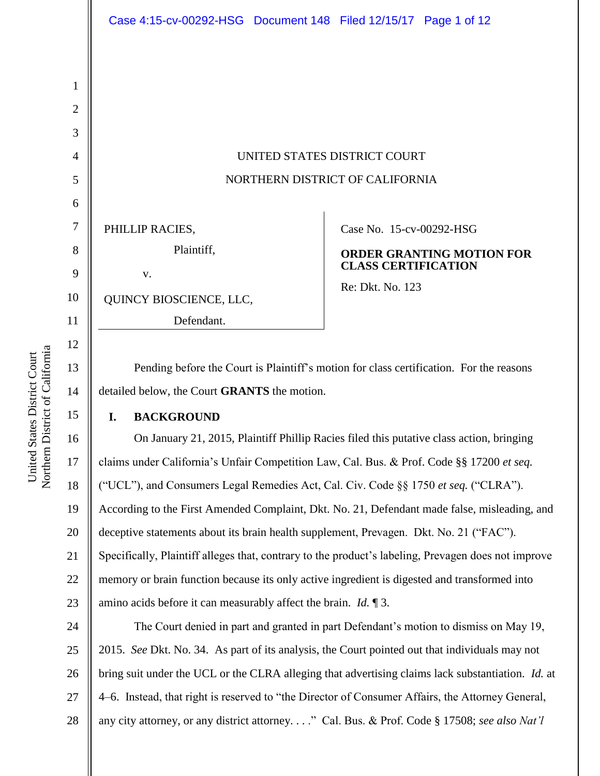| 1              |                                                                                         |                                  |
|----------------|-----------------------------------------------------------------------------------------|----------------------------------|
| $\overline{2}$ |                                                                                         |                                  |
| 3              |                                                                                         |                                  |
| $\overline{4}$ | UNITED STATES DISTRICT COURT                                                            |                                  |
| 5              | NORTHERN DISTRICT OF CALIFORNIA                                                         |                                  |
| 6              |                                                                                         |                                  |
| 7              | PHILLIP RACIES,                                                                         | Case No. 15-cv-00292-HSG         |
| 8              | Plaintiff,                                                                              | <b>ORDER GRANTING MOTION FOR</b> |
| 9              | V.                                                                                      | <b>CLASS CERTIFICATION</b>       |
| 10             | QUINCY BIOSCIENCE, LLC,                                                                 | Re: Dkt. No. 123                 |
| 11             | Defendant.                                                                              |                                  |
| 12             |                                                                                         |                                  |
| 13             | Pending before the Court is Plaintiff's motion for class certification. For the reasons |                                  |

detailed below, the Court **GRANTS** the motion.

## **I. BACKGROUND**

16 18 19 20 21 22 23 On January 21, 2015, Plaintiff Phillip Racies filed this putative class action, bringing claims under California's Unfair Competition Law, Cal. Bus. & Prof. Code §§ 17200 *et seq.* ("UCL"), and Consumers Legal Remedies Act, Cal. Civ. Code §§ 1750 *et seq.* ("CLRA"). According to the First Amended Complaint, Dkt. No. 21, Defendant made false, misleading, and deceptive statements about its brain health supplement, Prevagen. Dkt. No. 21 ("FAC"). Specifically, Plaintiff alleges that, contrary to the product's labeling, Prevagen does not improve memory or brain function because its only active ingredient is digested and transformed into amino acids before it can measurably affect the brain. *Id.* ¶ 3.

24 25 26 27 28 The Court denied in part and granted in part Defendant's motion to dismiss on May 19, 2015. *See* Dkt. No. 34. As part of its analysis, the Court pointed out that individuals may not bring suit under the UCL or the CLRA alleging that advertising claims lack substantiation. *Id.* at 4–6. Instead, that right is reserved to "the Director of Consumer Affairs, the Attorney General, any city attorney, or any district attorney. . . ." Cal. Bus. & Prof. Code § 17508; *see also Nat'l* 

14

15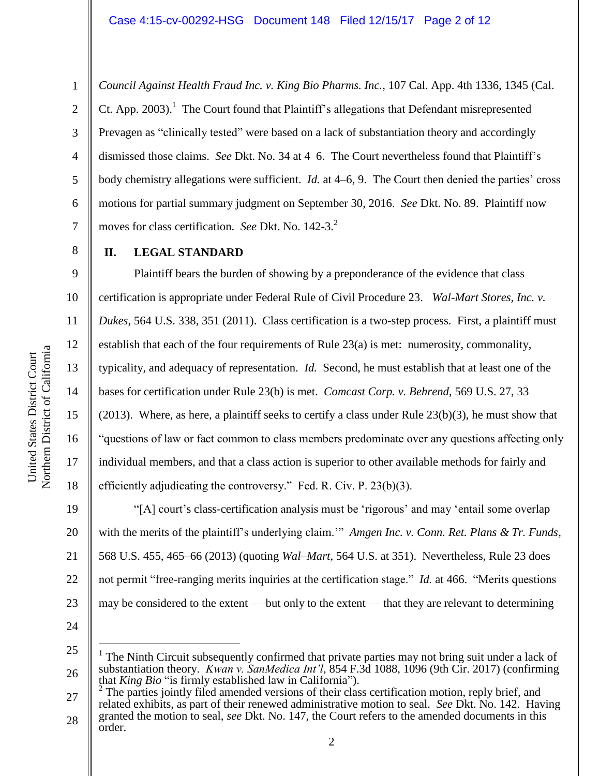*Council Against Health Fraud Inc. v. King Bio Pharms. Inc.*, 107 Cal. App. 4th 1336, 1345 (Cal. Ct. App. 2003).<sup>1</sup> The Court found that Plaintiff's allegations that Defendant misrepresented Prevagen as "clinically tested" were based on a lack of substantiation theory and accordingly dismissed those claims. *See* Dkt. No. 34 at 4–6. The Court nevertheless found that Plaintiff's body chemistry allegations were sufficient. *Id.* at 4–6, 9. The Court then denied the parties' cross motions for partial summary judgment on September 30, 2016. *See* Dkt. No. 89. Plaintiff now moves for class certification. *See* Dkt. No. 142-3. 2

**II. LEGAL STANDARD**

1

2

3

4

5

6

7

8

9

10

11

12

13

14

15

16

17

18

Plaintiff bears the burden of showing by a preponderance of the evidence that class certification is appropriate under Federal Rule of Civil Procedure 23. *Wal-Mart Stores, Inc. v. Dukes*, 564 U.S. 338, 351 (2011). Class certification is a two-step process. First, a plaintiff must establish that each of the four requirements of Rule 23(a) is met: numerosity, commonality, typicality, and adequacy of representation. *Id.* Second, he must establish that at least one of the bases for certification under Rule 23(b) is met. *Comcast Corp. v. Behrend*, 569 U.S. 27, 33 (2013). Where, as here, a plaintiff seeks to certify a class under Rule 23(b)(3), he must show that "questions of law or fact common to class members predominate over any questions affecting only individual members, and that a class action is superior to other available methods for fairly and efficiently adjudicating the controversy." Fed. R. Civ. P. 23(b)(3).

19 20 21 22 23 "[A] court's class-certification analysis must be 'rigorous' and may 'entail some overlap with the merits of the plaintiff's underlying claim.'" *Amgen Inc. v. Conn. Ret. Plans & Tr. Funds*, 568 U.S. 455, 465–66 (2013) (quoting *Wal–Mart*, 564 U.S. at 351). Nevertheless, Rule 23 does not permit "free-ranging merits inquiries at the certification stage." *Id.* at 466. "Merits questions may be considered to the extent — but only to the extent — that they are relevant to determining

24

 $\overline{a}$ 

25 26 1 The Ninth Circuit subsequently confirmed that private parties may not bring suit under a lack of substantiation theory. *Kwan v. SanMedica Int'l*, 854 F.3d 1088, 1096 (9th Cir. 2017) (confirming that *King Bio* "is firmly established law in California").

27 28 The parties jointly filed amended versions of their class certification motion, reply brief, and related exhibits, as part of their renewed administrative motion to seal. *See* Dkt. No. 142. Having granted the motion to seal, *see* Dkt. No. 147, the Court refers to the amended documents in this order.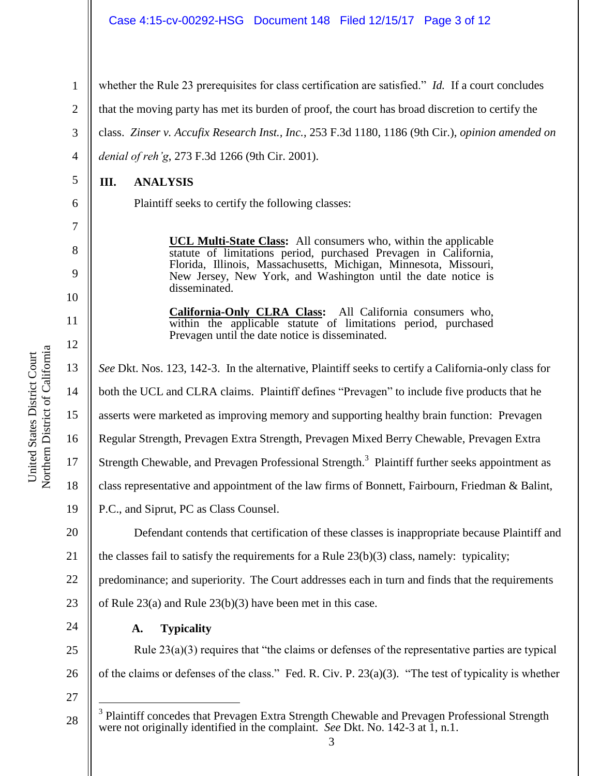whether the Rule 23 prerequisites for class certification are satisfied." *Id.* If a court concludes

that the moving party has met its burden of proof, the court has broad discretion to certify the

class. *Zinser v. Accufix Research Inst., Inc.*, 253 F.3d 1180, 1186 (9th Cir.), *opinion amended on* 

*denial of reh'g*, 273 F.3d 1266 (9th Cir. 2001).

**III. ANALYSIS**

1

2

3

4

5

6

7

8

9

10

11

12

Plaintiff seeks to certify the following classes:

**UCL Multi-State Class:** All consumers who, within the applicable statute of limitations period, purchased Prevagen in California, Florida, Illinois, Massachusetts, Michigan, Minnesota, Missouri, New Jersey, New York, and Washington until the date notice is disseminated.

**California-Only CLRA Class:** All California consumers who, within the applicable statute of limitations period, purchased Prevagen until the date notice is disseminated.

13 14 15 16 17 18 19 20 21 22 23 24 25 26 27 28 *See* Dkt. Nos. 123, 142-3.In the alternative, Plaintiff seeks to certify a California-only class for both the UCL and CLRA claims. Plaintiff defines "Prevagen" to include five products that he asserts were marketed as improving memory and supporting healthy brain function: Prevagen Regular Strength, Prevagen Extra Strength, Prevagen Mixed Berry Chewable, Prevagen Extra Strength Chewable, and Prevagen Professional Strength.<sup>3</sup> Plaintiff further seeks appointment as class representative and appointment of the law firms of Bonnett, Fairbourn, Friedman & Balint, P.C., and Siprut, PC as Class Counsel. Defendant contends that certification of these classes is inappropriate because Plaintiff and the classes fail to satisfy the requirements for a Rule  $23(b)(3)$  class, namely: typicality; predominance; and superiority. The Court addresses each in turn and finds that the requirements of Rule 23(a) and Rule 23(b)(3) have been met in this case. **A. Typicality** Rule 23(a)(3) requires that "the claims or defenses of the representative parties are typical of the claims or defenses of the class." Fed. R. Civ. P. 23(a)(3). "The test of typicality is whether  $\overline{a}$ 3 Plaintiff concedes that Prevagen Extra Strength Chewable and Prevagen Professional Strength were not originally identified in the complaint. *See* Dkt. No. 142-3 at 1, n.1.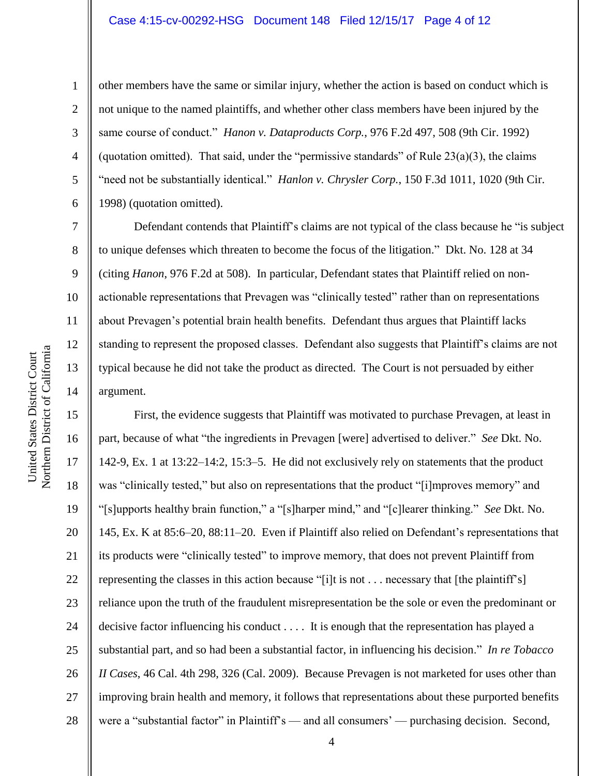other members have the same or similar injury, whether the action is based on conduct which is not unique to the named plaintiffs, and whether other class members have been injured by the same course of conduct." *Hanon v. Dataproducts Corp.*, 976 F.2d 497, 508 (9th Cir. 1992) (quotation omitted). That said, under the "permissive standards" of Rule  $23(a)(3)$ , the claims "need not be substantially identical." *Hanlon v. Chrysler Corp.*, 150 F.3d 1011, 1020 (9th Cir. 1998) (quotation omitted).

Defendant contends that Plaintiff's claims are not typical of the class because he "is subject to unique defenses which threaten to become the focus of the litigation." Dkt. No. 128 at 34 (citing *Hanon*, 976 F.2d at 508). In particular, Defendant states that Plaintiff relied on nonactionable representations that Prevagen was "clinically tested" rather than on representations about Prevagen's potential brain health benefits. Defendant thus argues that Plaintiff lacks standing to represent the proposed classes. Defendant also suggests that Plaintiff's claims are not typical because he did not take the product as directed. The Court is not persuaded by either argument.

15 16 17 18 19 20 21 22 23 24 25 26 27 28 First, the evidence suggests that Plaintiff was motivated to purchase Prevagen, at least in part, because of what "the ingredients in Prevagen [were] advertised to deliver." *See* Dkt. No. 142-9, Ex. 1 at 13:22–14:2, 15:3–5. He did not exclusively rely on statements that the product was "clinically tested," but also on representations that the product "[i]mproves memory" and "[s]upports healthy brain function," a "[s]harper mind," and "[c]learer thinking." *See* Dkt. No. 145, Ex. K at 85:6–20, 88:11–20. Even if Plaintiff also relied on Defendant's representations that its products were "clinically tested" to improve memory, that does not prevent Plaintiff from representing the classes in this action because "[i]t is not . . . necessary that [the plaintiff's] reliance upon the truth of the fraudulent misrepresentation be the sole or even the predominant or decisive factor influencing his conduct . . . . It is enough that the representation has played a substantial part, and so had been a substantial factor, in influencing his decision." *In re Tobacco II Cases*, 46 Cal. 4th 298, 326 (Cal. 2009). Because Prevagen is not marketed for uses other than improving brain health and memory, it follows that representations about these purported benefits were a "substantial factor" in Plaintiff's — and all consumers' — purchasing decision. Second,

1

2

3

4

5

6

7

8

9

10

11

12

13

14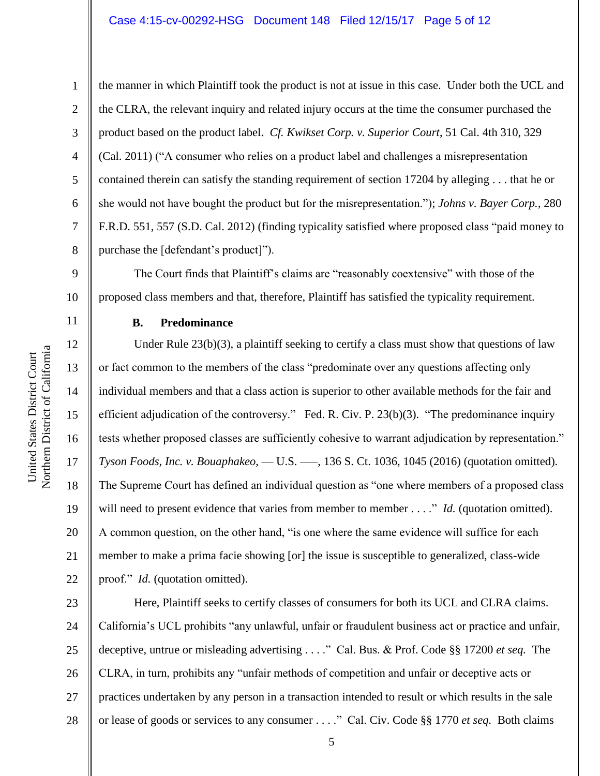9

11

12

13

14

15

16

17

18

19

20

21

22

1 2 3 4 5 6 7 8 the manner in which Plaintiff took the product is not at issue in this case. Under both the UCL and the CLRA, the relevant inquiry and related injury occurs at the time the consumer purchased the product based on the product label. *Cf. Kwikset Corp. v. Superior Court*, 51 Cal. 4th 310, 329 (Cal. 2011) ("A consumer who relies on a product label and challenges a misrepresentation contained therein can satisfy the standing requirement of section 17204 by alleging . . . that he or she would not have bought the product but for the misrepresentation."); *Johns v. Bayer Corp.*, 280 F.R.D. 551, 557 (S.D. Cal. 2012) (finding typicality satisfied where proposed class "paid money to purchase the [defendant's product]").

10 The Court finds that Plaintiff's claims are "reasonably coextensive" with those of the proposed class members and that, therefore, Plaintiff has satisfied the typicality requirement.

## **B. Predominance**

Under Rule  $23(b)(3)$ , a plaintiff seeking to certify a class must show that questions of law or fact common to the members of the class "predominate over any questions affecting only individual members and that a class action is superior to other available methods for the fair and efficient adjudication of the controversy." Fed. R. Civ. P. 23(b)(3). "The predominance inquiry tests whether proposed classes are sufficiently cohesive to warrant adjudication by representation." *Tyson Foods, Inc. v. Bouaphakeo*, — U.S. —–, 136 S. Ct. 1036, 1045 (2016) (quotation omitted). The Supreme Court has defined an individual question as "one where members of a proposed class will need to present evidence that varies from member to member . . . ." *Id.* (quotation omitted). A common question, on the other hand, "is one where the same evidence will suffice for each member to make a prima facie showing [or] the issue is susceptible to generalized, class-wide proof." *Id.* (quotation omitted).

23 24 25 26 27 28 Here, Plaintiff seeks to certify classes of consumers for both its UCL and CLRA claims. California's UCL prohibits "any unlawful, unfair or fraudulent business act or practice and unfair, deceptive, untrue or misleading advertising . . . ." Cal. Bus. & Prof. Code §§ 17200 *et seq.* The CLRA, in turn, prohibits any "unfair methods of competition and unfair or deceptive acts or practices undertaken by any person in a transaction intended to result or which results in the sale or lease of goods or services to any consumer . . . ." Cal. Civ. Code §§ 1770 *et seq.* Both claims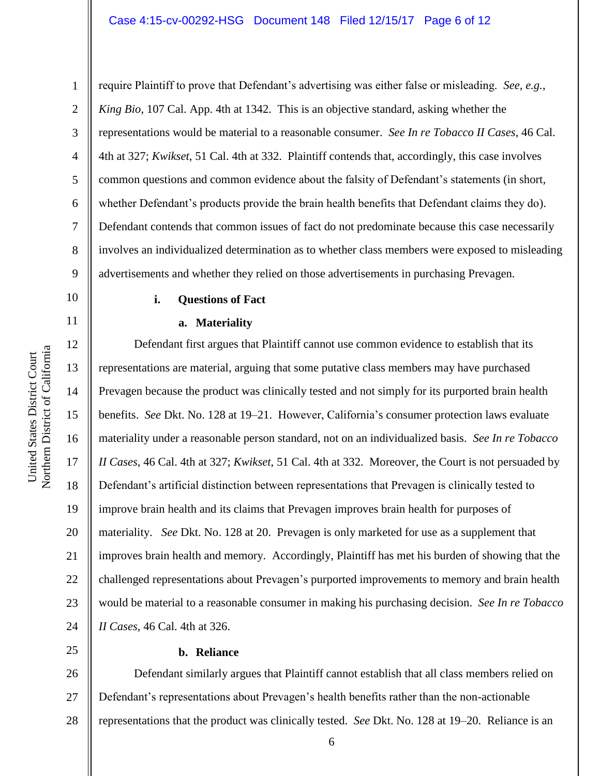1

10

11

12

13

14

15

16

17

18

19

20

21

22

23

24

25

2 3 4 5 6 7 8 9 require Plaintiff to prove that Defendant's advertising was either false or misleading. *See, e.g.*, *King Bio*, 107 Cal. App. 4th at 1342. This is an objective standard, asking whether the representations would be material to a reasonable consumer. *See In re Tobacco II Cases*, 46 Cal. 4th at 327; *Kwikset*, 51 Cal. 4th at 332. Plaintiff contends that, accordingly, this case involves common questions and common evidence about the falsity of Defendant's statements (in short, whether Defendant's products provide the brain health benefits that Defendant claims they do). Defendant contends that common issues of fact do not predominate because this case necessarily involves an individualized determination as to whether class members were exposed to misleading advertisements and whether they relied on those advertisements in purchasing Prevagen.

### **i. Questions of Fact**

#### **a. Materiality**

Defendant first argues that Plaintiff cannot use common evidence to establish that its representations are material, arguing that some putative class members may have purchased Prevagen because the product was clinically tested and not simply for its purported brain health benefits. *See* Dkt. No. 128 at 19–21. However, California's consumer protection laws evaluate materiality under a reasonable person standard, not on an individualized basis. *See In re Tobacco II Cases*, 46 Cal. 4th at 327; *Kwikset*, 51 Cal. 4th at 332. Moreover, the Court is not persuaded by Defendant's artificial distinction between representations that Prevagen is clinically tested to improve brain health and its claims that Prevagen improves brain health for purposes of materiality. *See* Dkt. No. 128 at 20. Prevagen is only marketed for use as a supplement that improves brain health and memory. Accordingly, Plaintiff has met his burden of showing that the challenged representations about Prevagen's purported improvements to memory and brain health would be material to a reasonable consumer in making his purchasing decision. *See In re Tobacco II Cases*, 46 Cal. 4th at 326.

## **b. Reliance**

26 27 28 Defendant similarly argues that Plaintiff cannot establish that all class members relied on Defendant's representations about Prevagen's health benefits rather than the non-actionable representations that the product was clinically tested. *See* Dkt. No. 128 at 19–20. Reliance is an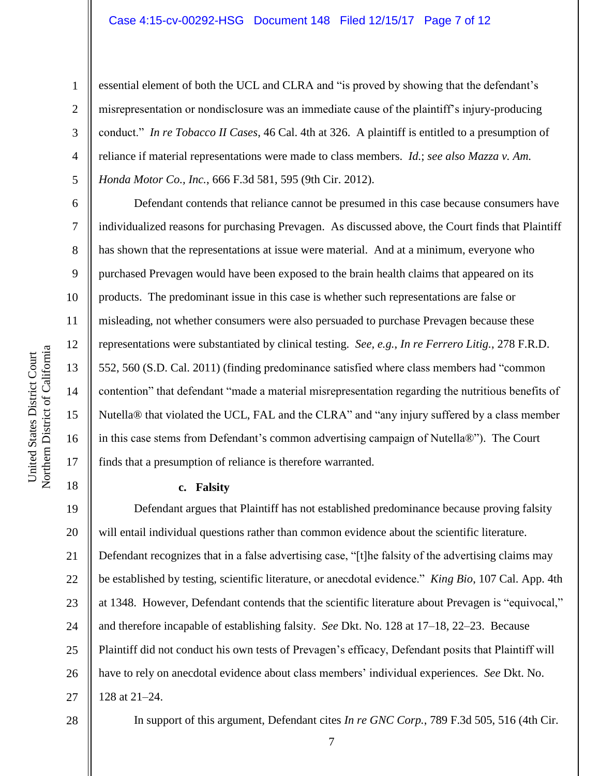essential element of both the UCL and CLRA and "is proved by showing that the defendant's misrepresentation or nondisclosure was an immediate cause of the plaintiff's injury-producing conduct." *In re Tobacco II Cases*, 46 Cal. 4th at 326. A plaintiff is entitled to a presumption of reliance if material representations were made to class members. *Id.*; *see also Mazza v. Am. Honda Motor Co., Inc.*, 666 F.3d 581, 595 (9th Cir. 2012).

Defendant contends that reliance cannot be presumed in this case because consumers have individualized reasons for purchasing Prevagen. As discussed above, the Court finds that Plaintiff has shown that the representations at issue were material. And at a minimum, everyone who purchased Prevagen would have been exposed to the brain health claims that appeared on its products. The predominant issue in this case is whether such representations are false or misleading, not whether consumers were also persuaded to purchase Prevagen because these representations were substantiated by clinical testing. *See, e.g.*, *In re Ferrero Litig.*, 278 F.R.D. 552, 560 (S.D. Cal. 2011) (finding predominance satisfied where class members had "common contention" that defendant "made a material misrepresentation regarding the nutritious benefits of Nutella® that violated the UCL, FAL and the CLRA" and "any injury suffered by a class member in this case stems from Defendant's common advertising campaign of Nutella®"). The Court finds that a presumption of reliance is therefore warranted.

## **c. Falsity**

19 20 21 22 23 24 25 26 27 Defendant argues that Plaintiff has not established predominance because proving falsity will entail individual questions rather than common evidence about the scientific literature. Defendant recognizes that in a false advertising case, "[t]he falsity of the advertising claims may be established by testing, scientific literature, or anecdotal evidence." *King Bio*, 107 Cal. App. 4th at 1348. However, Defendant contends that the scientific literature about Prevagen is "equivocal," and therefore incapable of establishing falsity. *See* Dkt. No. 128 at 17–18, 22–23. Because Plaintiff did not conduct his own tests of Prevagen's efficacy, Defendant posits that Plaintiff will have to rely on anecdotal evidence about class members' individual experiences. *See* Dkt. No. 128 at 21–24.

28

1

2

3

4

5

6

7

8

9

10

11

12

13

14

15

16

17

18

In support of this argument, Defendant cites *In re GNC Corp.*, 789 F.3d 505, 516 (4th Cir.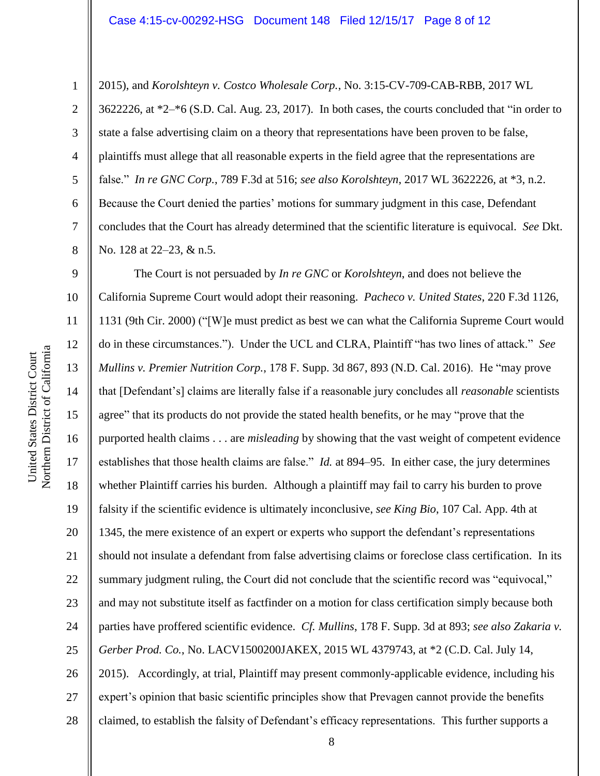2015), and *Korolshteyn v. Costco Wholesale Corp.*, No. 3:15-CV-709-CAB-RBB, 2017 WL 3622226, at \*2–\*6 (S.D. Cal. Aug. 23, 2017). In both cases, the courts concluded that "in order to state a false advertising claim on a theory that representations have been proven to be false, plaintiffs must allege that all reasonable experts in the field agree that the representations are false." *In re GNC Corp.*, 789 F.3d at 516; *see also Korolshteyn*, 2017 WL 3622226, at \*3, n.2. Because the Court denied the parties' motions for summary judgment in this case, Defendant concludes that the Court has already determined that the scientific literature is equivocal. *See* Dkt. No. 128 at 22–23, & n.5.

9 10 11 12 13 14 15 16 17 18 19 20 21 22 23 24 25 26 27 28 The Court is not persuaded by *In re GNC* or *Korolshteyn*, and does not believe the California Supreme Court would adopt their reasoning. *Pacheco v. United States*, 220 F.3d 1126, 1131 (9th Cir. 2000) ("[W]e must predict as best we can what the California Supreme Court would do in these circumstances."). Under the UCL and CLRA, Plaintiff "has two lines of attack." *See Mullins v. Premier Nutrition Corp.*, 178 F. Supp. 3d 867, 893 (N.D. Cal. 2016). He "may prove that [Defendant's] claims are literally false if a reasonable jury concludes all *reasonable* scientists agree" that its products do not provide the stated health benefits, or he may "prove that the purported health claims . . . are *misleading* by showing that the vast weight of competent evidence establishes that those health claims are false." *Id.* at 894–95. In either case, the jury determines whether Plaintiff carries his burden. Although a plaintiff may fail to carry his burden to prove falsity if the scientific evidence is ultimately inconclusive, *see King Bio*, 107 Cal. App. 4th at 1345, the mere existence of an expert or experts who support the defendant's representations should not insulate a defendant from false advertising claims or foreclose class certification. In its summary judgment ruling, the Court did not conclude that the scientific record was "equivocal," and may not substitute itself as factfinder on a motion for class certification simply because both parties have proffered scientific evidence. *Cf. Mullins*, 178 F. Supp. 3d at 893; *see also Zakaria v. Gerber Prod. Co.*, No. LACV1500200JAKEX, 2015 WL 4379743, at \*2 (C.D. Cal. July 14, 2015). Accordingly, at trial, Plaintiff may present commonly-applicable evidence, including his expert's opinion that basic scientific principles show that Prevagen cannot provide the benefits claimed, to establish the falsity of Defendant's efficacy representations. This further supports a

1

2

3

4

5

6

7

8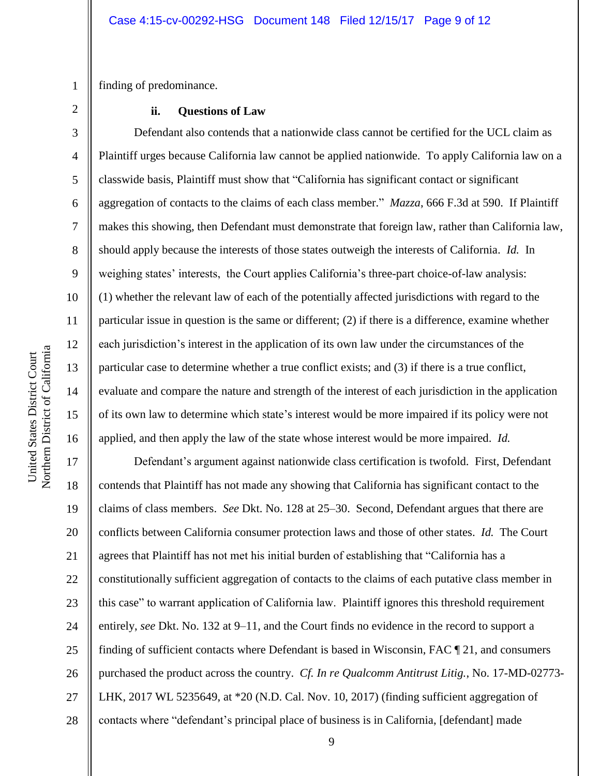1 finding of predominance.

2

3

4

5

6

7

8

9

10

11

12

13

14

15

16

#### **ii. Questions of Law**

Defendant also contends that a nationwide class cannot be certified for the UCL claim as Plaintiff urges because California law cannot be applied nationwide. To apply California law on a classwide basis, Plaintiff must show that "California has significant contact or significant aggregation of contacts to the claims of each class member." *Mazza*, 666 F.3d at 590. If Plaintiff makes this showing, then Defendant must demonstrate that foreign law, rather than California law, should apply because the interests of those states outweigh the interests of California. *Id.* In weighing states' interests, the Court applies California's three-part choice-of-law analysis: (1) whether the relevant law of each of the potentially affected jurisdictions with regard to the particular issue in question is the same or different; (2) if there is a difference, examine whether each jurisdiction's interest in the application of its own law under the circumstances of the particular case to determine whether a true conflict exists; and (3) if there is a true conflict, evaluate and compare the nature and strength of the interest of each jurisdiction in the application of its own law to determine which state's interest would be more impaired if its policy were not applied, and then apply the law of the state whose interest would be more impaired. *Id.*

17 18 19 20 21 22 23 24 25 26 27 28 Defendant's argument against nationwide class certification is twofold. First, Defendant contends that Plaintiff has not made any showing that California has significant contact to the claims of class members. *See* Dkt. No. 128 at 25–30. Second, Defendant argues that there are conflicts between California consumer protection laws and those of other states. *Id.* The Court agrees that Plaintiff has not met his initial burden of establishing that "California has a constitutionally sufficient aggregation of contacts to the claims of each putative class member in this case" to warrant application of California law. Plaintiff ignores this threshold requirement entirely, *see* Dkt. No. 132 at 9–11, and the Court finds no evidence in the record to support a finding of sufficient contacts where Defendant is based in Wisconsin, FAC ¶ 21, and consumers purchased the product across the country. *Cf. In re Qualcomm Antitrust Litig.*, No. 17-MD-02773- LHK, 2017 WL 5235649, at \*20 (N.D. Cal. Nov. 10, 2017) (finding sufficient aggregation of contacts where "defendant's principal place of business is in California, [defendant] made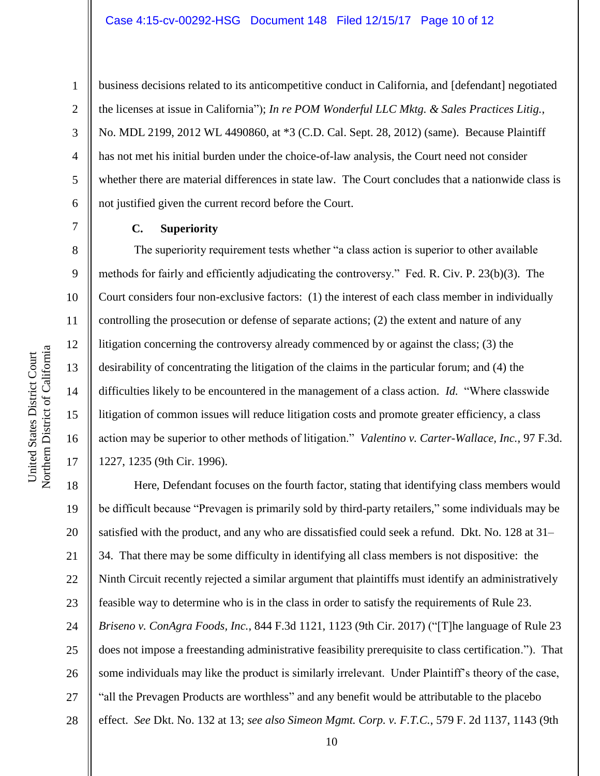business decisions related to its anticompetitive conduct in California, and [defendant] negotiated the licenses at issue in California"); *In re POM Wonderful LLC Mktg. & Sales Practices Litig.*, No. MDL 2199, 2012 WL 4490860, at \*3 (C.D. Cal. Sept. 28, 2012) (same). Because Plaintiff has not met his initial burden under the choice-of-law analysis, the Court need not consider whether there are material differences in state law. The Court concludes that a nationwide class is not justified given the current record before the Court.

### **C. Superiority**

The superiority requirement tests whether "a class action is superior to other available methods for fairly and efficiently adjudicating the controversy." Fed. R. Civ. P. 23(b)(3). The Court considers four non-exclusive factors: (1) the interest of each class member in individually controlling the prosecution or defense of separate actions; (2) the extent and nature of any litigation concerning the controversy already commenced by or against the class; (3) the desirability of concentrating the litigation of the claims in the particular forum; and (4) the difficulties likely to be encountered in the management of a class action. *Id.* "Where classwide litigation of common issues will reduce litigation costs and promote greater efficiency, a class action may be superior to other methods of litigation." *Valentino v. Carter-Wallace, Inc.*, 97 F.3d. 1227, 1235 (9th Cir. 1996).

18 19 20 21 22 23 24 25 26 27 28 Here, Defendant focuses on the fourth factor, stating that identifying class members would be difficult because "Prevagen is primarily sold by third-party retailers," some individuals may be satisfied with the product, and any who are dissatisfied could seek a refund. Dkt. No. 128 at 31– 34. That there may be some difficulty in identifying all class members is not dispositive: the Ninth Circuit recently rejected a similar argument that plaintiffs must identify an administratively feasible way to determine who is in the class in order to satisfy the requirements of Rule 23. *Briseno v. ConAgra Foods, Inc.*, 844 F.3d 1121, 1123 (9th Cir. 2017) ("[T]he language of Rule 23 does not impose a freestanding administrative feasibility prerequisite to class certification."). That some individuals may like the product is similarly irrelevant. Under Plaintiff's theory of the case, "all the Prevagen Products are worthless" and any benefit would be attributable to the placebo effect. *See* Dkt. No. 132 at 13; *see also Simeon Mgmt. Corp. v. F.T.C.*, 579 F. 2d 1137, 1143 (9th

1

2

3

4

5

6

7

8

9

10

11

12

13

14

15

16

17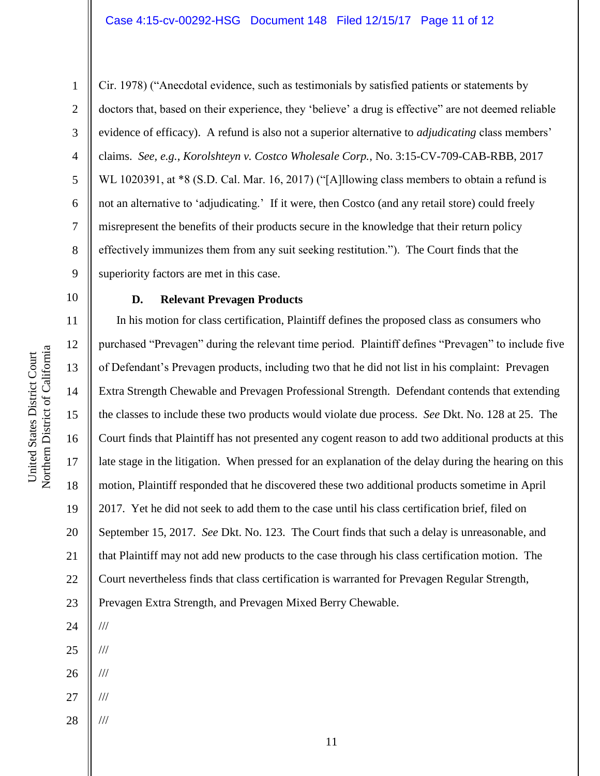6 7

1

2

3

4

5

Cir. 1978) ("Anecdotal evidence, such as testimonials by satisfied patients or statements by doctors that, based on their experience, they 'believe' a drug is effective" are not deemed reliable evidence of efficacy). A refund is also not a superior alternative to *adjudicating* class members' claims. *See, e.g.*, *Korolshteyn v. Costco Wholesale Corp.*, No. 3:15-CV-709-CAB-RBB, 2017 WL 1020391, at  $*8$  (S.D. Cal. Mar. 16, 2017) ("[A]llowing class members to obtain a refund is not an alternative to 'adjudicating.' If it were, then Costco (and any retail store) could freely misrepresent the benefits of their products secure in the knowledge that their return policy effectively immunizes them from any suit seeking restitution."). The Court finds that the superiority factors are met in this case.

10

United States District Court Northern District of California

Northern District of California United States District Court

8

9

## **D. Relevant Prevagen Products**

11 12 13 14 15 16 17 18 19 20 21 22 23 In his motion for class certification, Plaintiff defines the proposed class as consumers who purchased "Prevagen" during the relevant time period. Plaintiff defines "Prevagen" to include five of Defendant's Prevagen products, including two that he did not list in his complaint: Prevagen Extra Strength Chewable and Prevagen Professional Strength. Defendant contends that extending the classes to include these two products would violate due process. *See* Dkt. No. 128 at 25. The Court finds that Plaintiff has not presented any cogent reason to add two additional products at this late stage in the litigation. When pressed for an explanation of the delay during the hearing on this motion, Plaintiff responded that he discovered these two additional products sometime in April 2017. Yet he did not seek to add them to the case until his class certification brief, filed on September 15, 2017. *See* Dkt. No. 123. The Court finds that such a delay is unreasonable, and that Plaintiff may not add new products to the case through his class certification motion. The Court nevertheless finds that class certification is warranted for Prevagen Regular Strength, Prevagen Extra Strength, and Prevagen Mixed Berry Chewable. ///

24

25

26 ///

///

///

- 27 ///
- 28